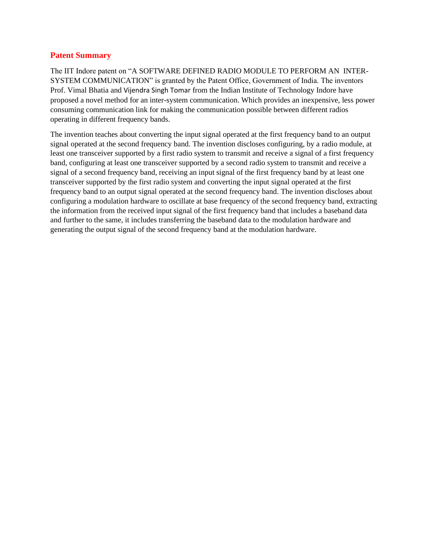## **Patent Summary**

The IIT Indore patent on "A SOFTWARE DEFINED RADIO MODULE TO PERFORM AN INTER-SYSTEM COMMUNICATION" is granted by the Patent Office, Government of India. The inventors Prof. Vimal Bhatia and Vijendra Singh Tomar from the Indian Institute of Technology Indore have proposed a novel method for an inter-system communication. Which provides an inexpensive, less power consuming communication link for making the communication possible between different radios operating in different frequency bands.

The invention teaches about converting the input signal operated at the first frequency band to an output signal operated at the second frequency band. The invention discloses configuring, by a radio module, at least one transceiver supported by a first radio system to transmit and receive a signal of a first frequency band, configuring at least one transceiver supported by a second radio system to transmit and receive a signal of a second frequency band, receiving an input signal of the first frequency band by at least one transceiver supported by the first radio system and converting the input signal operated at the first frequency band to an output signal operated at the second frequency band. The invention discloses about configuring a modulation hardware to oscillate at base frequency of the second frequency band, extracting the information from the received input signal of the first frequency band that includes a baseband data and further to the same, it includes transferring the baseband data to the modulation hardware and generating the output signal of the second frequency band at the modulation hardware.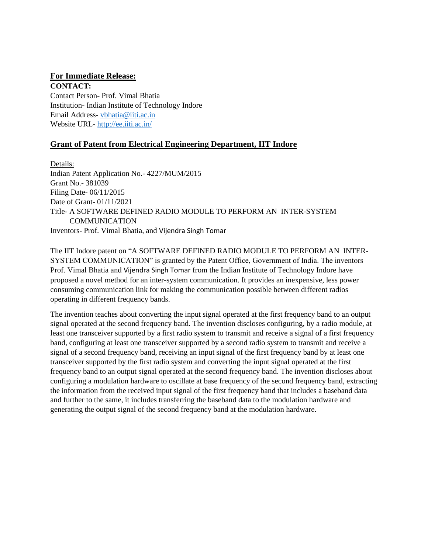## **For Immediate Release:**

**CONTACT:**  Contact Person- Prof. Vimal Bhatia Institution- Indian Institute of Technology Indore Email Address- [vbhatia@iiti.ac.in](mailto:vbhatia@iiti.ac.in) Website URL- <http://ee.iiti.ac.in/>

## **Grant of Patent from Electrical Engineering Department, IIT Indore**

Details: Indian Patent Application No.- 4227/MUM/2015 Grant No.- 381039 Filing Date- 06/11/2015 Date of Grant- 01/11/2021 Title- A SOFTWARE DEFINED RADIO MODULE TO PERFORM AN INTER-SYSTEM **COMMUNICATION** Inventors- Prof. Vimal Bhatia, and Vijendra Singh Tomar

The IIT Indore patent on "A SOFTWARE DEFINED RADIO MODULE TO PERFORM AN INTER-SYSTEM COMMUNICATION" is granted by the Patent Office, Government of India. The inventors Prof. Vimal Bhatia and Vijendra Singh Tomar from the Indian Institute of Technology Indore have proposed a novel method for an inter-system communication. It provides an inexpensive, less power consuming communication link for making the communication possible between different radios operating in different frequency bands.

The invention teaches about converting the input signal operated at the first frequency band to an output signal operated at the second frequency band. The invention discloses configuring, by a radio module, at least one transceiver supported by a first radio system to transmit and receive a signal of a first frequency band, configuring at least one transceiver supported by a second radio system to transmit and receive a signal of a second frequency band, receiving an input signal of the first frequency band by at least one transceiver supported by the first radio system and converting the input signal operated at the first frequency band to an output signal operated at the second frequency band. The invention discloses about configuring a modulation hardware to oscillate at base frequency of the second frequency band, extracting the information from the received input signal of the first frequency band that includes a baseband data and further to the same, it includes transferring the baseband data to the modulation hardware and generating the output signal of the second frequency band at the modulation hardware.